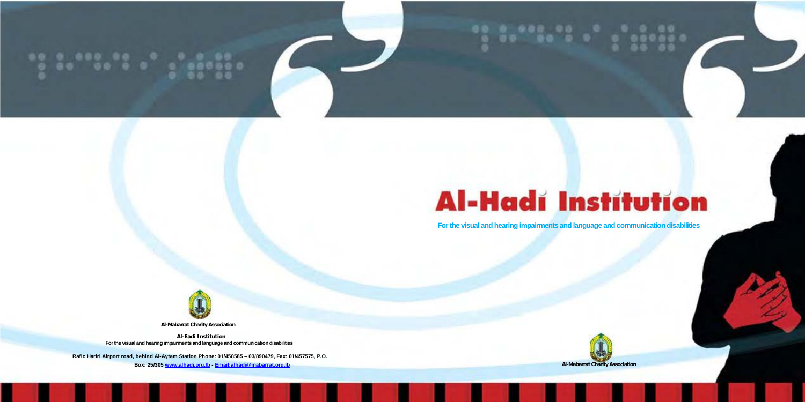

# **Al-Hadi Institution**

**For the visual and hearing impairments and language and communication disabilities**



**Al-Mabarrat Charity Association**

**Al-Eadi Institution For the visual and hearing impairments and language and communication disabilities**

**Rafic Hariri Airport road, behind Al-Aytam Station Phone: 01/458585 – 03/890479, Fax: 01/457575, P.O. Box: 25/30[5 www.alhadi.org.lb](http://www.alhadi.org.lb/) - [Email:alhadi@mabarrat.org.lb](mailto:alhadi@mabarrat.org.lb) Al-Mabarrat Charity Association**

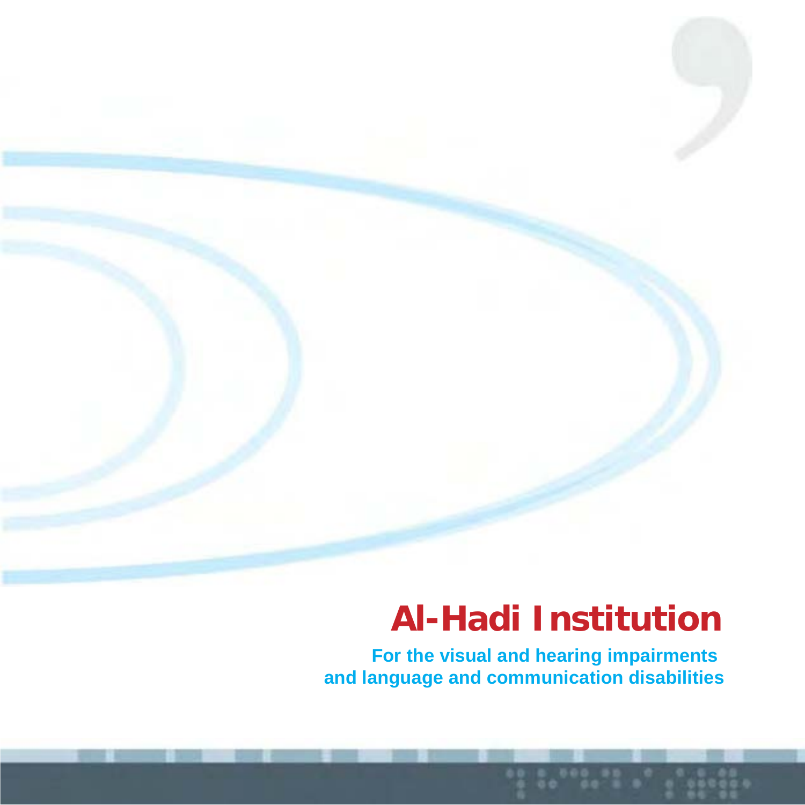## **Al-Hadi Institution**

**For the visual and hearing impairments and language and communication disabilities**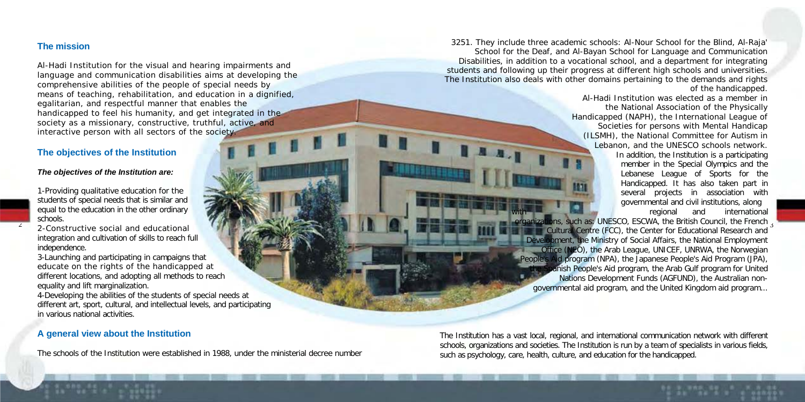## **The mission**

2

Al-Hadi Institution for the visual and hearing impairments and language and communication disabilities aims at developing the comprehensive abilities of the people of special needs by means of teaching, rehabilitation, and education in a dignified, egalitarian, and respectful manner that enables the handicapped to feel his humanity, and get integrated in the society as a missionary, constructive, truthful, active, and interactive person with all sectors of the society.

## **The objectives of the Institution**

#### *The objectives of the Institution are:*

1-Providing qualitative education for the students of special needs that is similar and equal to the education in the other ordinary schools.

2-Constructive social and educational integration and cultivation of skills to reach full independence.

3-Launching and participating in campaigns that educate on the rights of the handicapped at different locations, and adopting all methods to reach equality and lift marginalization.

4-Developing the abilities of the students of special needs at different art, sport, cultural, and intellectual levels, and participating in various national activities.

#### **A general view about the Institution**

The schools of the Institution were established in 1988, under the ministerial decree number

3251. They include three academic schools: Al-Nour School for the Blind, Al-Raja' School for the Deaf, and Al-Bayan School for Language and Communication Disabilities, in addition to a vocational school, and a department for integrating students and following up their progress at different high schools and universities. The Institution also deals with other domains pertaining to the demands and rights of the handicapped.

Al-Hadi Institution was elected as a member in the National Association of the Physically Handicapped (NAPH), the International League of Societies for persons with Mental Handicap (ILSMH), the National Committee for Autism in Lebanon, and the UNESCO schools network. In addition, the Institution is a participating member in the Special Olympics and the Lebanese League of Sports for the Handicapped. It has also taken part in several projects in association with governmental and civil institutions, along regional and international

organizations, such as: UNESCO, ESCWA, the British Council, the French 3 Cultural Centre (FCC), the Center for Educational Research and opment, the Ministry of Social Affairs, the National Employment Office (NEO), the Arab League, UNICEF, UNRWA, the Norwegian People's Aid program (NPA), the Japanese People's Aid Program (JPA), anish People's Aid program, the Arab Gulf program for United Nations Development Funds (AGFUND), the Australian nongovernmental aid program, and the United Kingdom aid program...

The Institution has a vast local, regional, and international communication network with different schools, organizations and societies. The Institution is run by a team of specialists in various fields, such as psychology, care, health, culture, and education for the handicapped.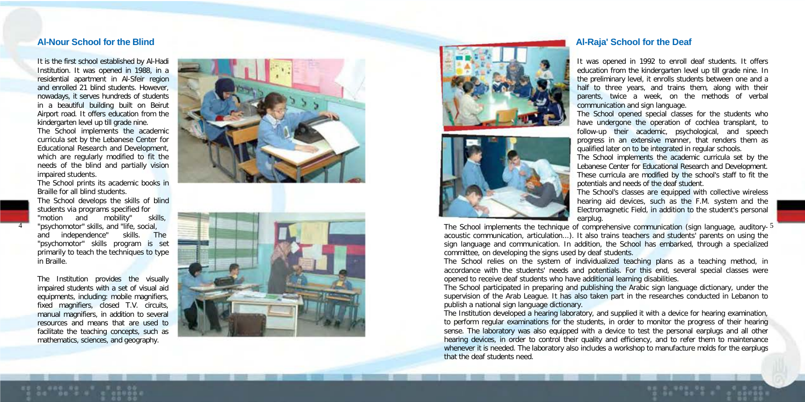It is the first school established by Al-Hadi Institution. It was opened in 1988, in a residential apartment in Al-Sfeir region and enrolled 21 blind students. However nowadays, it serves hundreds of students in a beautiful building built on Beirut Airport road. It offers education from the kindergarten level up till grade nine. The School implements the academic curricula set by the Lebanese Center for Educational Research and Development,

which are regularly modified to fit the needs of the blind and partially vision impaired students.

The School prints its academic books in Braille for all blind students.

The School develops the skills of blind students via programs specified for "motion and mobility" skills, "psychomotor" skills, and "life, social, and independence" skills. The "psychomotor" skills program is set primarily to teach the techniques to type in Braille.

4

The Institution provides the visually impaired students with a set of visual aid equipments, including: mobile magnifiers. fixed magnifiers, closed T.V. circuits,<br>manual magnifiers, in addition to several resources and means that are used to facilitate the teaching concepts, such as mathematics, sciences, and geography.









#### **-Raja' School for the Deaf**

It was opened in 1992 to enroll deaf students. It offers education from the kindergarten level up till grade nine. In the preliminary level, it enrolls students between one and a half to three years, and trains them, along with their parents, twice a week, on the methods of verbal communication and sign language.

The School opened special classes for the students who have undergone the operation of cochlea transplant, to follow-up their academic, psychological, and speech progress in an extensive manner, that renders them as qualified later on to be integrated in regular schools.

The School implements the academic curricula set by the Lebanese Center for Educational Research and Development. These curricula are modified by the school's staff to fit the potentials and needs of the deaf student.

The School's classes are equipped with collective wireless hearing aid devices, such as the F.M. system and the Electromagnetic Field, in addition to the student's personal earplug.

The School implements the technique of comprehensive communication (sign language, auditory- 5 acoustic communication, articulation...). It also trains teachers and students' parents on using the sign language and communication. In addition, the School has embarked, through a specialized committee, on developing the signs used by deaf students.

The School relies on the system of individualized teaching plans as a teaching method, in accordance with the students' needs and potentials. For this end, several special classes were opened to receive deaf students who have additional learning disabilities.

The School participated in preparing and publishing the Arabic sign language dictionary, under the supervision of the Arab League. It has also taken part in the researches conducted in Lebanon to publish a national sign language dictionary.

The Institution developed a hearing laboratory, and supplied it with a device for hearing examination, to perform regular examinations for the students, in order to monitor the progress of their hearing sense. The laboratory was also equipped with a device to test the personal earplugs and all other hearing devices, in order to control their quality and efficiency, and to refer them to maintenance whenever it is needed. The laboratory also includes a workshop to manufacture molds for the earplugs that the deaf students need.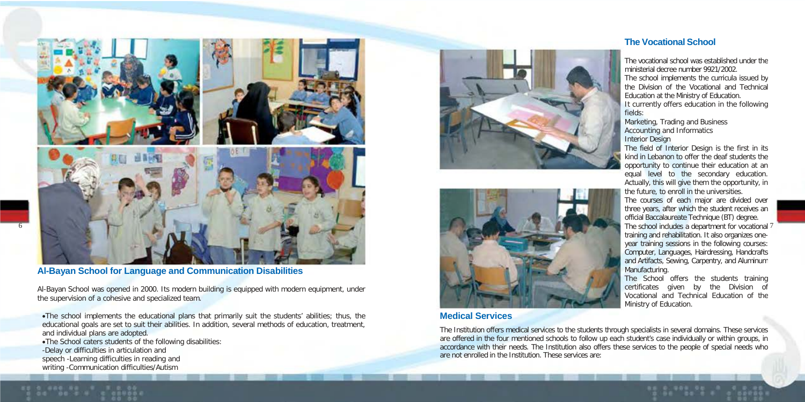

**Al-Bayan School for Language and Communication Disabilities**

Al-Bayan School was opened in 2000. Its modern building is equipped with modern equipment, under the supervision of a cohesive and specialized team.

•The school implements the educational plans that primarily suit the students' abilities; thus, the educational goals are set to suit their abilities. In addition, several methods of education, treatment, and individual plans are adopted.

•The School caters students of the following disabilities: -Delay or difficulties in articulation and speech -Learning difficulties in reading and writing -Communication difficulties/Autism





## **Medical Services**

The Institution offers medical services to the students through specialists in several domains. These services are offered in the four mentioned schools to follow up each student's case individually or within groups, in accordance with their needs. The Institution also offers these services to the people of special needs who are not enrolled in the Institution. These services are:

#### **The Vocational School**

The vocational school was established under the ministerial decree number 9921/2002. The school implements the curricula issued by the Division of the Vocational and Technical Education at the Ministry of Education. It currently offers education in the following fields:

Marketing, Trading and Business Accounting and Informatics Interior Design

The field of Interior Design is the first in its kind in Lebanon to offer the deaf students the opportunity to continue their education at an equal level to the secondary education. Actually, this will give them the opportunity, in the future, to enroll in the universities.

The courses of each major are divided over three years, after which the student receives an official Baccalaureate Technique (BT) degree. training and rehabilitation. It also organizes oneyear training sessions in the following courses: Computer, Languages, Hairdressing, Handcrafts and Artifacts, Sewing, Carpentry, and Aluminum Manufacturing.

The School offers the students training certificates given by the Division of Vocational and Technical Education of the Ministry of Education.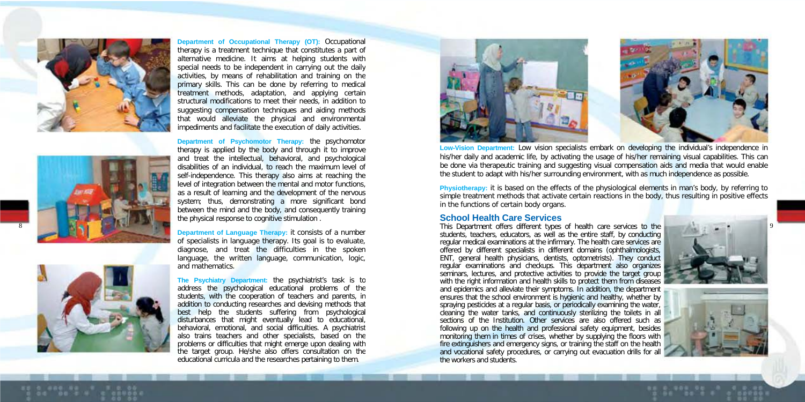

**Department of Occupational Therapy (OT):** Occupational therapy is a treatment technique that constitutes a part of alternative medicine. It aims at helping students with special needs to be independent in carrying out the daily activities, by means of rehabilitation and training on the primary skills. This can be done by referring to medical treatment methods, adaptation, and applying certain structural modifications to meet their needs, in addition to suggesting compensation techniques and aiding methods that would alleviate the physical and environmental impediments and facilitate the execution of daily activities.



8

**Department of Psychomotor Therapy:** the psychomotor therapy is applied by the body and through it to improve and treat the intellectual, behavioral, and psychological disabilities of an individual, to reach the maximum level of self-independence. This therapy also aims at reaching the level of integration between the mental and motor functions, as a result of learning and the development of the nervous system; thus, demonstrating a more significant bond between the mind and the body, and consequently training the physical response to cognitive stimulation .

**Department of Language Therapy:** it consists of a number of specialists in language therapy. Its goal is to evaluate. diagnose, and treat the difficulties in the spoken language, the written language, communication, logic, and mathematics.



**The Psychiatry Department:** the psychiatrist's task is to address the psychological educational problems of the students, with the cooperation of teachers and parents, in addition to conducting researches and devising methods that best help the students suffering from psychological disturbances that might eventually lead to educational, behavioral, emotional, and social difficulties. A psychiatrist also trains teachers and other specialists, based on the problems or difficulties that might emerge upon dealing with the target group. He/she also offers consultation on the educational curricula and the researches pertaining to them.



**Low -Vision Department:** Low vision specialists embark on developing the individual's independence in his/her daily and academic life, by activating the usage of his/her remaining visual capabilities. This can be done via therapeutic training and suggesting visual compensation aids and media that would enable the student to adapt with his/her surrounding environment, with as much independence as possible.

**Physiotherapy:** it is based on the effects of the physiological elements in man's body, by referring to simple treatment methods that activate certain reactions in the body, thus resulting in positive effects in the functions of certain body organs.

#### **School Health Care Services**

This Department offers different types of health care services to the students, teachers, educators, as well as the entire staff, by conducting regular medical examinations at the infirmary. The health care services are offered by different specialists in different domains (ophthalmologists, ENT, general health physicians, dentists, optometrists). They conduct regular examinations and checkups. This department also organizes seminars, lectures, and protective activities to provide the target group with the right information and health skills to protect them from diseases and epidemics and alleviate their symptoms. In addition, the department ensures that the school environment is hygienic and healthy, whether by spraying pesticides at a regular basis, or periodically examining the water, cleaning the water tanks, and continuously sterilizing the toilets in all sections of the Institution. Other services are also offered such as following up on the health and professional safety equipment, besides monitoring them in times of crises, whether by supplying the floors with fire extinguishers and emergency signs, or training the staff on the health and vocational safety procedures, or carrying out evacuation drills for all the workers and students.



9

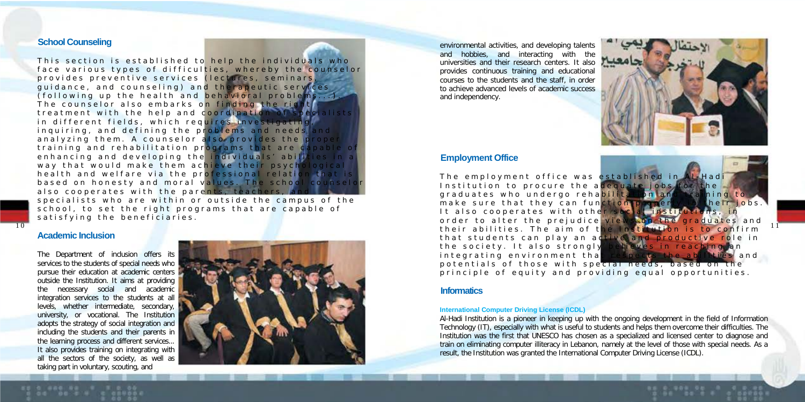#### **School Counseling**

This section is established to help the individuals who face various types of difficulties, whereby the counselor provides preventive services (lectures, seminars, quidance, and counseling) and therapeutic serv (following up the health and behavioral proble The counselor also embarks on finding the rid treatment with the help and coordination in different fields, which requires investigating inquiring, and defining the problems and need analyzing them. A counselor also provides the training and rehabilitation programs that are d enhancing and developing the individuals' abili way that would make them achieve their psychological health and welfare via the professional relation based on honesty and moral values. The school co also cooperates with the parents, teachers

specialists who are within or outside the campus of the school, to set the right programs that are capable of satisfying the beneficiaries.

#### **Academic Inclusion**

The Department of inclusion offers its services to the students of special needs who pursue their education at academic centers outside the Institution. It aims at providing the necessary social and academic integration services to the students at all levels, whether intermediate, secondary, university, or vocational. The Institution adopts the strategy of social integration and including the students and their parents in the learning process and different services... It also provides training on integrating with all the sectors of the society, as well as taking part in voluntary, scouting, and



environmental activities, and developing talents and hobbies, and interacting with the universities and their research centers. It also provides continuous training and educational courses to the students and the staff, in order to achieve advanced levels of academic success and independency.



#### **Employment Office**

The employment office was established Institution to procure the adequate jobs. graduates who undergo rehabilitation and make sure that they can function prop It also cooperates with other soc order to alter the prejudice view the society. It also strongly  $interacting$  integrating environment that



potentials of those with special needs, principle of equity and providing equal opportunities.

#### **Informatics**

#### **International Computer Driving License (ICDL)**

Al-Hadi Institution is a pioneer in keeping up with the ongoing development in the field of Information Technology (IT), especially with what is useful to students and helps them overcome their difficulties. The Institution was the first that UNESCO has chosen as a specialized and licensed center to diagnose and train on eliminating computer illiteracy in Lebanon, namely at the level of those with special needs. As a result, the Institution was granted the International Computer Driving License (ICDL).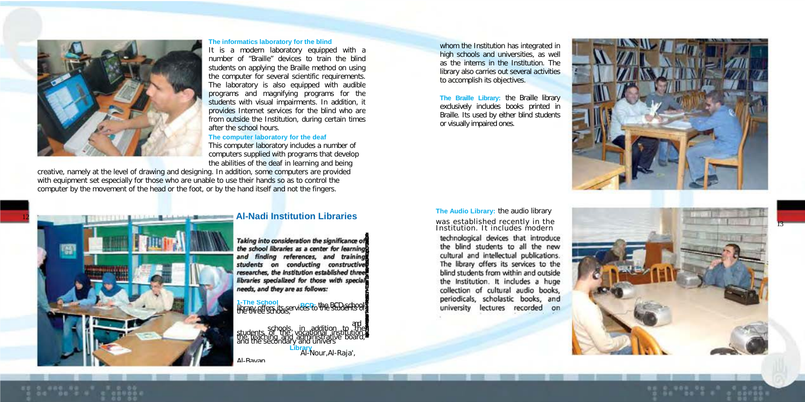

#### **The informatics laboratory for the blind**

It is a modern laboratory equipped with a number of "Braille" devices to train the blind students on applying the Braille method on using the computer for several scientific requirements. The laboratory is also equipped with audible programs and magnifying programs for the students with visual impairments. In addition, it provides Internet services for the blind who are from outside the Institution, during certain times after the school hours.

#### **The computer laboratory for the deaf**

This computer laboratory includes a number of computers supplied with programs that develop the abilities of the deaf in learning and being

**Library** Al-Nour,Al -Raja',

*Taking into consideration the signifcance of the school ibraries as a ce*

*nter for learning and fi*

creative, namely at the level of drawing and designing. In addition, some computers are provided with equipment set especially for those who are unable to use their hands so as to control the computer by the movement of the head or the foot, or by the hand itself and not the fingers.



**The Braille Library:** the Braille library exclusively includes books printed in Braille. Its used by either blind students or visually impaired ones.



technological devices that introduce the blind students to all the new cultural and intellectual publications. The library offers its services to the blind students from within and outside the Institution. It includes a huge collection of cultural audio books, periodicals, scholastic books, and university lectures recorded on





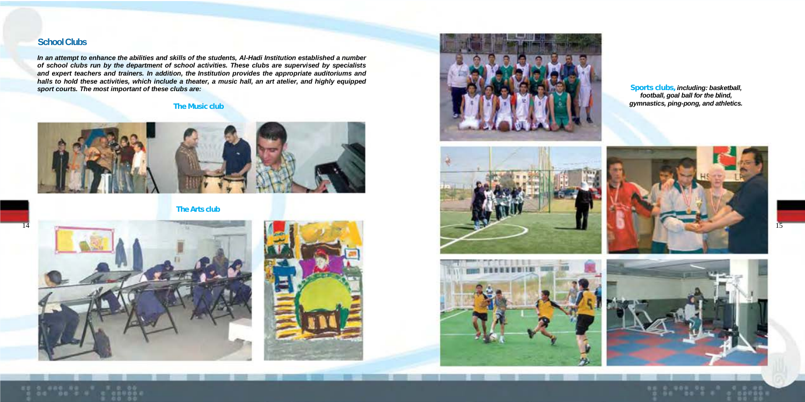## **School Clubs**

*In an attempt to enhance the abilities and skills of the students, Al-Hadi Institution established a number of school clubs run by the department of school activities. These clubs are supervised by specialists and expert teachers and trainers. In addition, the Institution provides the appropriate auditoriums and*  halls to hold these activities, which include a theater, a music hall, an art atelier, and highly equipped<br>sport courts. The most important of these clubs are: the section and the section of the section of the section



**The Arts club**







*football, goal ball for the blind,*







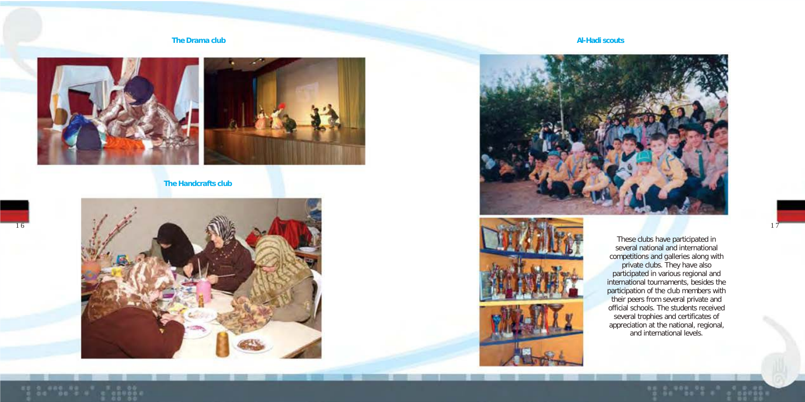#### **The Drama club Al-Hadi scouts**



**The Handcrafts club**







These clubs have participated in several national and international competitions and galleries along with private clubs. They have also participated in various regional and international tournaments, besides the participation of the club members with their peers from several private and official schools. The students received several trophies and certificates of appreciation at the national, regional, and international levels.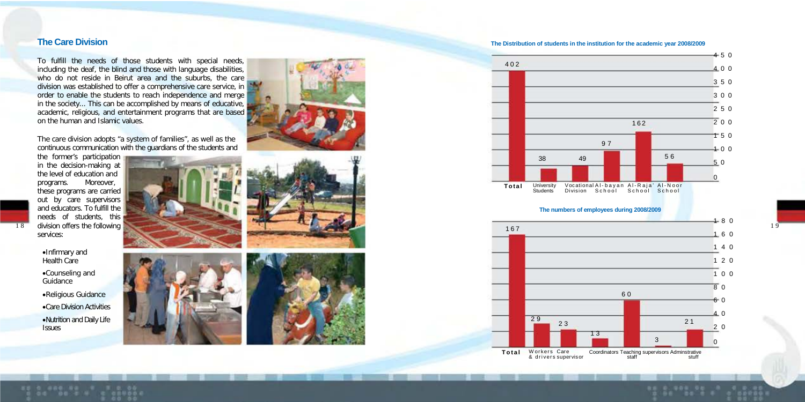To fulfill the needs of those students with special needs, including the deaf, the blind and those with language disabilities, who do not reside in Beirut area and the suburbs, the care division was established to offer a comprehensive care service, in order to enable the students to reach independence and merge in the society... This can be accomplished by means of educative, academic, religious, and entertainment programs that are based on the human and Islamic values.

The care division adopts "a system of families", as well as the continuous communication with the guardians of the students and

the former's participation in the decision-making at the level of education and programs. Moreover, these programs are carried out by care supervisors and educators. To fulfill the needs of students, this division offers the following services:

•Infirmary and Health Care •Counseling and Guidance

•Religious Guidance •Care Division Activities •Nutrition and Daily Life **Issues** 











**The Care Division The Distribution of students in the institution for the academic year 2008/2009**



#### **The numbers of employees during 2008/2009**